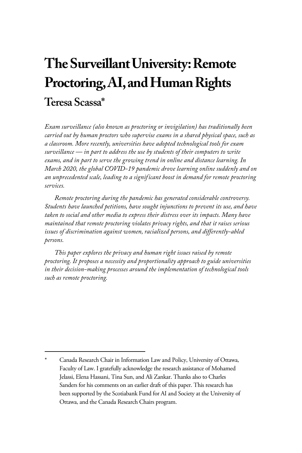# **The Surveillant University: Remote Proctoring, AI, and Human Rights Teresa Scassa\***

*Exam surveillance (also known as proctoring or invigilation) has traditionally been carried out by human proctors who supervise exams in a shared physical space, such as a classroom. More recently, universities have adopted technological tools for exam surveillance — in part to address the use by students of their computers to write exams, and in part to serve the growing trend in online and distance learning. In March 2020, the global COVID-19 pandemic drove learning online suddenly and on an unprecedented scale, leading to a significant boost in demand for remote proctoring services.* 

*Remote proctoring during the pandemic has generated considerable controversy. Students have launched petitions, have sought injunctions to prevent its use, and have taken to social and other media to express their distress over its impacts. Many have maintained that remote proctoring violates privacy rights, and that it raises serious issues of discrimination against women, racialized persons, and differently-abled persons.* 

*This paper explores the privacy and human right issues raised by remote proctoring. It proposes a necessity and proportionality approach to guide universities in their decision-making processes around the implementation of technological tools such as remote proctoring.* 

<sup>\*</sup> Canada Research Chair in Information Law and Policy, University of Ottawa, Faculty of Law. I gratefully acknowledge the research assistance of Mohamed Jelassi, Elena Hassani, Tina Sun, and Ali Zankar. Thanks also to Charles Sanders for his comments on an earlier draft of this paper. This research has been supported by the Scotiabank Fund for AI and Society at the University of Ottawa, and the Canada Research Chairs program.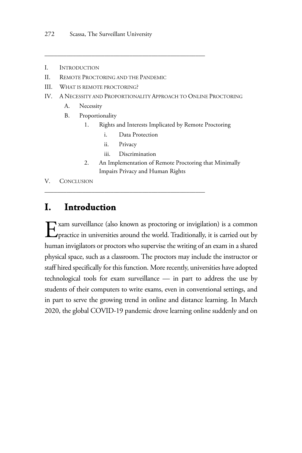- I. INTRODUCTION
- II. REMOTE PROCTORING AND THE PANDEMIC
- III. WHAT IS REMOTE PROCTORING?
- IV. A NECESSITY AND PROPORTIONALITY APPROACH TO ONLINE PROCTORING
	- A. Necessity
	- B. Proportionality
		- 1. Rights and Interests Implicated by Remote Proctoring
			- i. Data Protection

\_\_\_\_\_\_\_\_\_\_\_\_\_\_\_\_\_\_\_\_\_\_\_\_\_\_\_\_\_\_\_\_\_\_\_\_\_\_\_\_\_\_\_\_\_\_\_\_\_\_\_

- ii. Privacy
- iii. Discrimination

\_\_\_\_\_\_\_\_\_\_\_\_\_\_\_\_\_\_\_\_\_\_\_\_\_\_\_\_\_\_\_\_\_\_\_\_\_\_\_\_\_\_\_\_\_\_\_\_\_\_\_

2. An Implementation of Remote Proctoring that Minimally Impairs Privacy and Human Rights

V. CONCLUSION

## **I. Introduction**

Exam surveillance (also known as proctoring or invigilation) is a common practice in universities around the world. Traditionally, it is carried out by practice in universities around the world. Traditionally, it is carried out by human invigilators or proctors who supervise the writing of an exam in a shared physical space, such as a classroom. The proctors may include the instructor or staff hired specifically for this function. More recently, universities have adopted technological tools for exam surveillance — in part to address the use by students of their computers to write exams, even in conventional settings, and in part to serve the growing trend in online and distance learning. In March 2020, the global COVID-19 pandemic drove learning online suddenly and on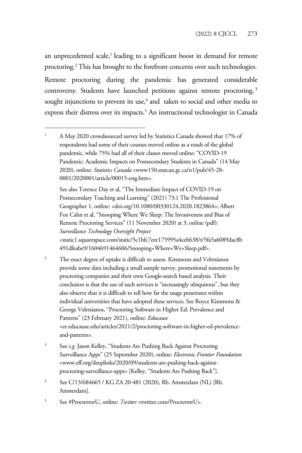an unprecedented scale,<sup>1</sup> leading to a significant boost in demand for remote proctoring.<sup>2</sup> This has brought to the forefront concerns over such technologies. Remote proctoring during the pandemic has generated considerable controversy. Students have launched petitions against remote proctoring,<sup>3</sup> sought injunctions to prevent its use, $4$  and taken to social and other media to express their distress over its impacts.<sup>5</sup> An instructional technologist in Canada

See also Terence Day et al, "The Immediate Impact of COVID-19 on Postsecondary Teaching and Learning" (2021) 73:1 The Professional Geographer 1, online: <doi.org/10.1080/00330124.2020.1823864>; Albert Fox Cahn et al, "Snooping Where We Sleep: The Invasiveness and Bias of Remote Proctoring Services" (11 November 2020) at 3, online (pdf): *Surveillance Technology Oversight Project*  <static1.squarespace.com/static/5c1bfc7eee175995a4ceb638/t/5fa5a6089dac8b 491dfeabe9/1604691464606/Snooping+Where+We+Sleep.pdf>.

- $\overline{2}$  The exact degree of uptake is difficult to assess. Kimmons and Veletsianos provide some data including a small sample survey, promotional statements by proctoring companies and their own Google-search based analysis. Their conclusion is that the use of such services is "increasingly ubiquitous", but they also observe that it is difficult to tell how far the usage penetrates within individual universities that have adopted these services. See Royce Kimmons & George Veletsianos, "Proctoring Software in Higher Ed: Prevalence and Patterns" (23 February 2021), online: *Educause*  <er.educause.edu/articles/2021/2/proctoring-software-in-higher-ed-prevalenceand-patterns>.
- 3 See *e.g.* Jason Kelley, "Students Are Pushing Back Against Proctoring Surveillance Apps" (25 September 2020), online: *Electronic Frontier Foundation* <www.eff.org/deeplinks/2020/09/students-are-pushing-back-againstproctoring-surveillance-apps> [Kelley, "Students Are Pushing Back"].
- 4 See C/13/684665 / KG ZA 20-481 (2020), Rb. Amsterdam (NL) [Rb. Amsterdam].
- 5 See #ProcterrorU, online: *Twitter* <twitter.com/ProcterrorU>.

<sup>1</sup> A May 2020 crowdsourced survey led by Statistics Canada showed that 17% of respondents had some of their courses moved online as a result of the global pandemic, while 75% had all of their classes moved online: "COVID-19 Pandemic: Academic Impacts on Postsecondary Students in Canada" (14 May 2020), online: *Statistics Canada* <www150.statcan.gc.ca/n1/pub/45-28- 0001/2020001/article/00015-eng.htm>.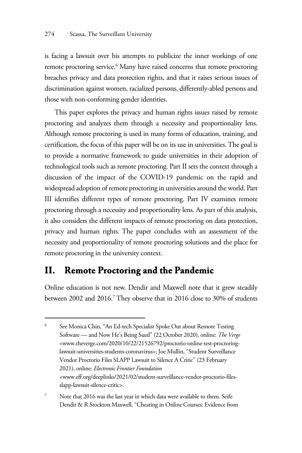is facing a lawsuit over his attempts to publicize the inner workings of one remote proctoring service.<sup>6</sup> Many have raised concerns that remote proctoring breaches privacy and data protection rights, and that it raises serious issues of discrimination against women, racialized persons, differently-abled persons and those with non-conforming gender identities.

This paper explores the privacy and human rights issues raised by remote proctoring and analyzes them through a necessity and proportionality lens. Although remote proctoring is used in many forms of education, training, and certification, the focus of this paper will be on its use in universities. The goal is to provide a normative framework to guide universities in their adoption of technological tools such as remote proctoring. Part II sets the context through a discussion of the impact of the COVID-19 pandemic on the rapid and widespread adoption of remote proctoring in universities around the world. Part III identifies different types of remote proctoring. Part IV examines remote proctoring through a necessity and proportionality lens. As part of this analysis, it also considers the different impacts of remote proctoring on data protection, privacy and human rights. The paper concludes with an assessment of the necessity and proportionality of remote proctoring solutions and the place for remote proctoring in the university context.

# **II. Remote Proctoring and the Pandemic**

Online education is not new. Dendir and Maxwell note that it grew steadily between 2002 and 2016.7 They observe that in 2016 close to 30% of students

<sup>6</sup> See Monica Chin, "An Ed-tech Specialist Spoke Out about Remote Testing Software — and Now He's Being Sued" (22 October 2020), online: *The Verge*  <www.theverge.com/2020/10/22/21526792/proctorio-online-test-proctoringlawsuit-universities-students-coronavirus>; Joe Mullin, "Student Surveillance Vendor Proctorio Files SLAPP Lawsuit to Silence A Critic" (23 February 2021), online: *Electronic Frontier Foundation* <www.eff.org/deeplinks/2021/02/student-surveillance-vendor-proctorio-filesslapp-lawsuit-silence-critic>.

<sup>7</sup> Note that 2016 was the last year in which data were available to them. Seife Dendir & R Stockton Maxwell, "Cheating in Online Courses: Evidence from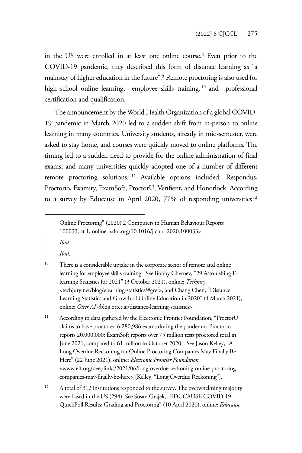in the US were enrolled in at least one online course. <sup>8</sup> Even prior to the COVID-19 pandemic, they described this form of distance learning as "a mainstay of higher education in the future".9 Remote proctoring is also used for high school online learning, employee skills training, <sup>10</sup> and professional certification and qualification.

The announcement by the World Health Organization of a global COVID-19 pandemic in March 2020 led to a sudden shift from in-person to online learning in many countries. University students, already in mid-semester, were asked to stay home, and courses were quickly moved to online platforms. The timing led to a sudden need to provide for the online administration of final exams, and many universities quickly adopted one of a number of different remote proctoring solutions. 11 Available options included: Respondus, Proctorio, Examity, ExamSoft, ProctorU, Verifient, and Honorlock. According to a survey by Educause in April 2020, 77% of responding universities<sup>12</sup>

8 *Ibid*.

9 *Ibid*.

- <sup>10</sup> There is a considerable uptake in the corporate sector of remote and online learning for employee skills training. See Bobby Chernev, "29 Astonishing Elearning Statistics for 2021" (3 October 2021), online: *Techjury* <techjury.net/blog/elearning-statistics/#gref>; and Chang Chen, "Distance Learning Statistics and Growth of Online Education in 2020" (4 March 2021), online: Otter AI <br/>blog.otter.ai/distance-learning-statistics>.
- <sup>11</sup> According to data gathered by the Electronic Frontier Foundation, "ProctorU claims to have proctored 6,280,986 exams during the pandemic; Proctorio reports 20,000,000; ExamSoft reports over 75 million tests proctored total in June 2021, compared to 61 million in October 2020". See Jason Kelley, "A Long Overdue Reckoning for Online Proctoring Companies May Finally Be Here" (22 June 2021), online: *Electronic Frontier Foundation* <www.eff.org/deeplinks/2021/06/long-overdue-reckoning-online-proctoringcompanies-may-finally-be-here> [Kelley, "Long Overdue Reckoning"].
- <sup>12</sup> A total of 312 institutions responded to the survey. The overwhelming majority were based in the US (294). See Susan Grajek, "EDUCAUSE COVID-19 QuickPoll Results: Grading and Proctoring" (10 April 2020), online: *Educause*

Online Proctoring" (2020) 2 Computers in Human Behaviour Reports 100033, at 1, online: <doi.org/10.1016/j.chbr.2020.100033>.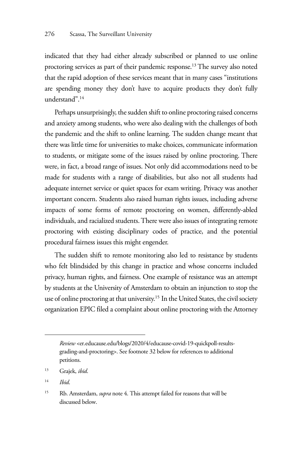indicated that they had either already subscribed or planned to use online proctoring services as part of their pandemic response.<sup>13</sup> The survey also noted that the rapid adoption of these services meant that in many cases "institutions are spending money they don't have to acquire products they don't fully understand".14

Perhaps unsurprisingly, the sudden shift to online proctoring raised concerns and anxiety among students, who were also dealing with the challenges of both the pandemic and the shift to online learning. The sudden change meant that there was little time for universities to make choices, communicate information to students, or mitigate some of the issues raised by online proctoring. There were, in fact, a broad range of issues. Not only did accommodations need to be made for students with a range of disabilities, but also not all students had adequate internet service or quiet spaces for exam writing. Privacy was another important concern. Students also raised human rights issues, including adverse impacts of some forms of remote proctoring on women, differently-abled individuals, and racialized students. There were also issues of integrating remote proctoring with existing disciplinary codes of practice, and the potential procedural fairness issues this might engender.

The sudden shift to remote monitoring also led to resistance by students who felt blindsided by this change in practice and whose concerns included privacy, human rights, and fairness. One example of resistance was an attempt by students at the University of Amsterdam to obtain an injunction to stop the use of online proctoring at that university.<sup>15</sup> In the United States, the civil society organization EPIC filed a complaint about online proctoring with the Attorney

*Review* <er.educause.edu/blogs/2020/4/educause-covid-19-quickpoll-resultsgrading-and-proctoring>. See footnote 32 below for references to additional petitions.

<sup>13</sup> Grajek, *ibid*.

<sup>14</sup> *Ibid*.

<sup>15</sup> Rb. Amsterdam, *supra* note 4. This attempt failed for reasons that will be discussed below.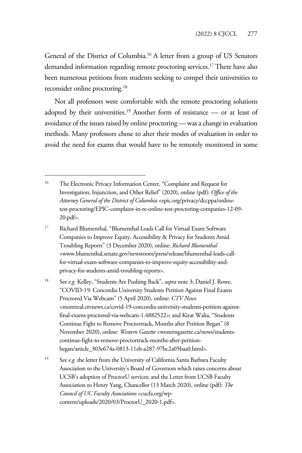General of the District of Columbia.16 A letter from a group of US Senators demanded information regarding remote proctoring services.<sup>17</sup> There have also been numerous petitions from students seeking to compel their universities to reconsider online proctoring.18

Not all professors were comfortable with the remote proctoring solutions adopted by their universities.19 Another form of resistance — or at least of avoidance of the issues raised by online proctoring — was a change in evaluation methods. Many professors chose to alter their modes of evaluation in order to avoid the need for exams that would have to be remotely monitored in some

- 17 Richard Blumenthal, "Blumenthal Leads Call for Virtual Exam Software Companies to Improve Equity, Accessibility & Privacy for Students Amid Troubling Reports" (3 December 2020), online: *Richard Blumenthal* <www.blumenthal.senate.gov/newsroom/press/release/blumenthal-leads-callfor-virtual-exam-software-companies-to-improve-equity-accessibility-andprivacy-for-students-amid-troubling-reports>.
- 18 See *e.g.* Kelley, "Students Are Pushing Back", *supra* note 3; Daniel J. Rowe, "COVID-19: Concordia University Students Petition Against Final Exams Proctored Via Webcam" (5 April 2020), online: *CTV News* <montreal.ctvnews.ca/covid-19-concordia-university-students-petition-againstfinal-exams-proctored-via-webcam-1.4882522>; and Kirat Walia, "Students Continue Fight to Remove Proctortrack, Months after Petition Began" (8 November 2020), online: *Western Gazette* <westerngazette.ca/news/studentscontinue-fight-to-remove-proctortrack-months-after-petitionbegan/article\_303e674a-0813-11eb-a287-97bc2a05baa0.html>.
- <sup>19</sup> See *e.g.* the letter from the University of California Santa Barbara Faculty Association to the University's Board of Governors which raises concerns about UCSB's adoption of ProctorU services; and the Letter from UCSB Faculty Association to Henry Yang, Chancellor (13 March 2020), online (pdf): *The Council of UC Faculty Associations* <cucfa.org/wpcontent/uploads/2020/03/ProctorU\_2020-1.pdf>.

<sup>&</sup>lt;sup>16</sup> The Electronic Privacy Information Center, "Complaint and Request for Investigation, Injunction, and Other Relief" (2020), online (pdf): *Office of the Attorney General of the District of Columbia* <epic.org/privacy/dccppa/onlinetest-proctoring/EPIC-complaint-in-re-online-test-proctoring-companies-12-09- 20.pdf>.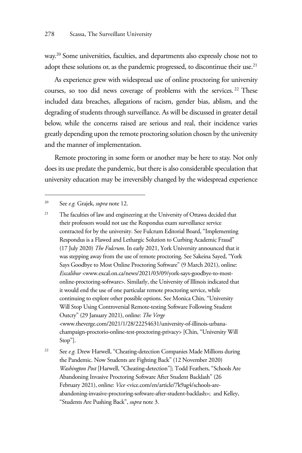way.<sup>20</sup> Some universities, faculties, and departments also expressly chose not to adopt these solutions or, as the pandemic progressed, to discontinue their use.<sup>21</sup>

As experience grew with widespread use of online proctoring for university courses, so too did news coverage of problems with the services. 22 These included data breaches, allegations of racism, gender bias, ablism, and the degrading of students through surveillance. As will be discussed in greater detail below, while the concerns raised are serious and real, their incidence varies greatly depending upon the remote proctoring solution chosen by the university and the manner of implementation.

Remote proctoring in some form or another may be here to stay. Not only does its use predate the pandemic, but there is also considerable speculation that university education may be irreversibly changed by the widespread experience

20 See *e.g.* Grajek, *supra* note 12.

<sup>21</sup> The faculties of law and engineering at the University of Ottawa decided that their professors would not use the Respondus exam surveillance service contracted for by the university. See Fulcrum Editorial Board, "Implementing Respondus is a Flawed and Lethargic Solution to Curbing Academic Fraud" (17 July 2020) *The Fulcrum*. In early 2021, York University announced that it was stepping away from the use of remote proctoring. See Sakeina Sayed, "York Says Goodbye to Most Online Proctoring Software" (9 March 2021), online: *Excalibur* <www.excal.on.ca/news/2021/03/09/york-says-goodbye-to-mostonline-proctoring-software>. Similarly, the University of Illinois indicated that it would end the use of one particular remote proctoring service, while continuing to explore other possible options. See Monica Chin, "University Will Stop Using Controversial Remote-testing Software Following Student Outcry" (29 January 2021), online: *The Verge*  <www.theverge.com/2021/1/28/22254631/university-of-illinois-urbanachampaign-proctorio-online-test-proctoring-privacy> [Chin, "University Will Stop"].

<sup>22</sup> See *e.g.* Drew Harwell, "Cheating-detection Companies Made Millions during the Pandemic. Now Students are Fighting Back" (12 November 2020) *Washington Post* [Harwell, "Cheating-detection"]; Todd Feathers, "Schools Are Abandoning Invasive Proctoring Software After Student Backlash" (26 February 2021), online: *Vice* <vice.com/en/article/7k9ag4/schools-areabandoning-invasive-proctoring-software-after-student-backlash>; and Kelley, "Students Are Pushing Back", *supra* note 3.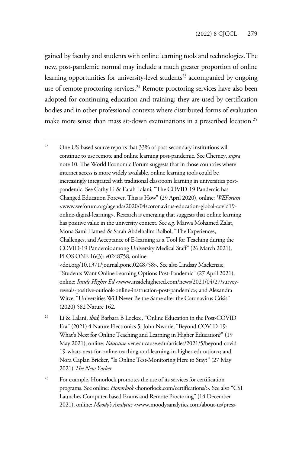gained by faculty and students with online learning tools and technologies. The new, post-pandemic normal may include a much greater proportion of online learning opportunities for university-level students<sup>23</sup> accompanied by ongoing use of remote proctoring services.<sup>24</sup> Remote proctoring services have also been adopted for continuing education and training; they are used by certification bodies and in other professional contexts where distributed forms of evaluation make more sense than mass sit-down examinations in a prescribed location.25

<sup>23</sup> One US-based source reports that 33% of post-secondary institutions will continue to use remote and online learning post-pandemic. See Cherney, *supra* note 10. The World Economic Forum suggests that in those countries where internet access is more widely available, online learning tools could be increasingly integrated with traditional classroom learning in universities postpandemic. See Cathy Li & Farah Lalani, "The COVID-19 Pandemic has Changed Education Forever. This is How" (29 April 2020), online: *WEForum*  <www.weforum.org/agenda/2020/04/coronavirus-education-global-covid19 online-digital-learning>. Research is emerging that suggests that online learning has positive value in the university context. See *e.g.* Marwa Mohamed Zalat, Mona Sami Hamed & Sarah Abdelhalim Bolbol, "The Experiences, Challenges, and Acceptance of E-learning as a Tool for Teaching during the COVID-19 Pandemic among University Medical Staff" (26 March 2021), PLOS ONE 16(3): e0248758, online:

<doi.org/10.1371/journal.pone.0248758>. See also Lindsay Mackenzie, "Students Want Online Learning Options Post-Pandemic" (27 April 2021), online: *Inside Higher Ed* <www.insidehighered.com/news/2021/04/27/surveyreveals-positive-outlook-online-instruction-post-pandemic>; and Alexandra Witze, "Universities Will Never Be the Same after the Coronavirus Crisis" (2020) 582 Nature 162.

- 24 Li & Lalani, *ibid*; Barbara B Lockee, "Online Education in the Post-COVID Era" (2021) 4 Nature Electronics 5; John Nworie, "Beyond COVID-19: What's Next for Online Teaching and Learning in Higher Education?" (19 May 2021), online: *Educause* <er.educause.edu/articles/2021/5/beyond-covid-19-whats-next-for-online-teaching-and-learning-in-higher-education>; and Nora Caplan Bricker, "Is Online Test-Monitoring Here to Stay?" (27 May 2021) *The New Yorker*.
- <sup>25</sup> For example, Honorlock promotes the use of its services for certification programs. See online: *Honorlock* <honorlock.com/certifications/>. See also "CSI Launches Computer-based Exams and Remote Proctoring" (14 December 2021), online: *Moody's Analytics* <www.moodysanalytics.com/about-us/press-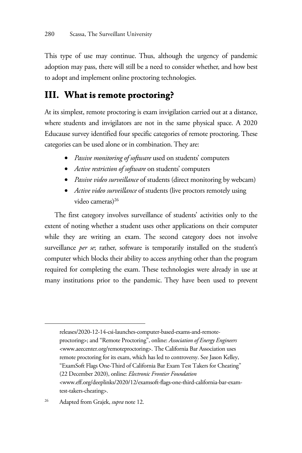This type of use may continue. Thus, although the urgency of pandemic adoption may pass, there will still be a need to consider whether, and how best to adopt and implement online proctoring technologies.

# **III. What is remote proctoring?**

At its simplest, remote proctoring is exam invigilation carried out at a distance, where students and invigilators are not in the same physical space. A 2020 Educause survey identified four specific categories of remote proctoring. These categories can be used alone or in combination. They are:

- *Passive monitoring of software* used on students' computers
- *Active restriction of software* on students' computers
- *Passive video surveillance* of students (direct monitoring by webcam)
- *Active video surveillance* of students (live proctors remotely using video cameras)<sup>26</sup>

The first category involves surveillance of students' activities only to the extent of noting whether a student uses other applications on their computer while they are writing an exam. The second category does not involve surveillance *per se*; rather, software is temporarily installed on the student's computer which blocks their ability to access anything other than the program required for completing the exam. These technologies were already in use at many institutions prior to the pandemic. They have been used to prevent

releases/2020-12-14-csi-launches-computer-based-exams-and-remoteproctoring>; and "Remote Proctoring", online: *Association of Energy Engineers* <www.aeecenter.org/remoteproctoring>. The California Bar Association uses remote proctoring for its exam, which has led to controversy. See Jason Kelley, "ExamSoft Flags One-Third of California Bar Exam Test Takers for Cheating" (22 December 2020), online: *Electronic Frontier Foundation* <www.eff.org/deeplinks/2020/12/examsoft-flags-one-third-california-bar-examtest-takers-cheating>.

26 Adapted from Grajek, *supra* note 12.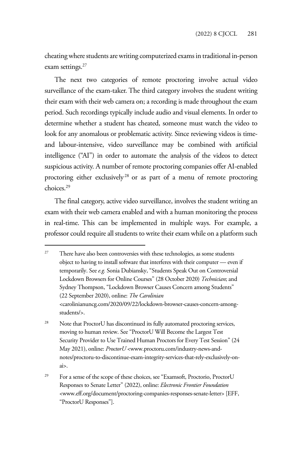cheating where students are writing computerized exams in traditional in-person exam settings.<sup>27</sup>

The next two categories of remote proctoring involve actual video surveillance of the exam-taker. The third category involves the student writing their exam with their web camera on; a recording is made throughout the exam period. Such recordings typically include audio and visual elements. In order to determine whether a student has cheated, someone must watch the video to look for any anomalous or problematic activity. Since reviewing videos is timeand labour-intensive, video surveillance may be combined with artificial intelligence ("AI") in order to automate the analysis of the videos to detect suspicious activity. A number of remote proctoring companies offer AI-enabled proctoring either exclusively<sup>28</sup> or as part of a menu of remote proctoring choices.29

The final category, active video surveillance, involves the student writing an exam with their web camera enabled and with a human monitoring the process in real-time. This can be implemented in multiple ways. For example, a professor could require all students to write their exam while on a platform such

<sup>&</sup>lt;sup>27</sup> There have also been controversies with these technologies, as some students object to having to install software that interferes with their computer — even if temporarily. See *e.g.* Sonia Dubiansky, "Students Speak Out on Controversial Lockdown Browsers for Online Courses" (28 October 2020) *Technician*; and Sydney Thompson, "Lockdown Browser Causes Concern among Students" (22 September 2020), online: *The Carolinian*  <carolinianuncg.com/2020/09/22/lockdown-browser-causes-concern-amongstudents/>.

<sup>&</sup>lt;sup>28</sup> Note that ProctorU has discontinued its fully automated proctoring services, moving to human review. See "ProctorU Will Become the Largest Test Security Provider to Use Trained Human Proctors for Every Test Session" (24 May 2021), online: *ProctorU* <www.proctoru.com/industry-news-andnotes/proctoru-to-discontinue-exam-integrity-services-that-rely-exclusively-onai>.

<sup>&</sup>lt;sup>29</sup> For a sense of the scope of these choices, see "Examsoft, Proctorio, ProctorU Responses to Senate Letter" (2022), online: *Electronic Frontier Foundation* <www.eff.org/document/proctoring-companies-responses-senate-letter> [EFF, "ProctorU Responses"].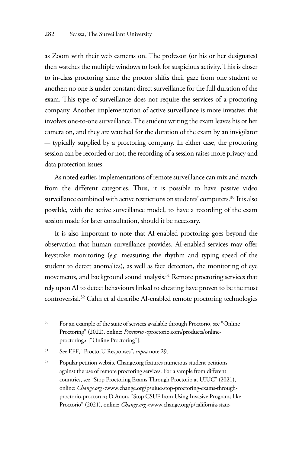as Zoom with their web cameras on. The professor (or his or her designates) then watches the multiple windows to look for suspicious activity. This is closer to in-class proctoring since the proctor shifts their gaze from one student to another; no one is under constant direct surveillance for the full duration of the exam. This type of surveillance does not require the services of a proctoring company. Another implementation of active surveillance is more invasive; this involves one-to-one surveillance. The student writing the exam leaves his or her camera on, and they are watched for the duration of the exam by an invigilator — typically supplied by a proctoring company. In either case, the proctoring session can be recorded or not; the recording of a session raises more privacy and data protection issues.

As noted earlier, implementations of remote surveillance can mix and match from the different categories. Thus, it is possible to have passive video surveillance combined with active restrictions on students' computers.<sup>30</sup> It is also possible, with the active surveillance model, to have a recording of the exam session made for later consultation, should it be necessary.

It is also important to note that AI-enabled proctoring goes beyond the observation that human surveillance provides. AI-enabled services may offer keystroke monitoring (*e.g.* measuring the rhythm and typing speed of the student to detect anomalies), as well as face detection, the monitoring of eye movements, and background sound analysis.31 Remote proctoring services that rely upon AI to detect behaviours linked to cheating have proven to be the most controversial.32 Cahn et al describe AI-enabled remote proctoring technologies

<sup>&</sup>lt;sup>30</sup> For an example of the suite of services available through Proctorio, see "Online" Proctoring" (2022), online: *Proctorio* <proctorio.com/products/onlineproctoring> ["Online Proctoring"].

<sup>31</sup> See EFF, "ProctorU Responses", *supra* note 29.

<sup>&</sup>lt;sup>32</sup> Popular petition website Change.org features numerous student petitions against the use of remote proctoring services. For a sample from different countries, see "Stop Proctoring Exams Through Proctorio at UIUC" (2021), online: *Change.org* <www.change.org/p/uiuc-stop-proctoring-exams-throughproctorio-proctoru>; D Anon, "Stop CSUF from Using Invasive Programs like Proctorio" (2021), online: *Change.org* <www.change.org/p/california-state-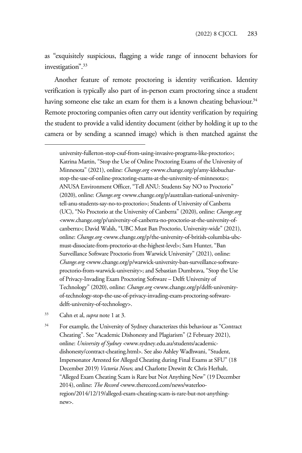as "exquisitely suspicious, flagging a wide range of innocent behaviors for investigation".33

Another feature of remote proctoring is identity verification. Identity verification is typically also part of in-person exam proctoring since a student having someone else take an exam for them is a known cheating behaviour.<sup>34</sup> Remote proctoring companies often carry out identity verification by requiring the student to provide a valid identity document (either by holding it up to the camera or by sending a scanned image) which is then matched against the

university-fullerton-stop-csuf-from-using-invasive-programs-like-proctorio>; Katrina Martin, "Stop the Use of Online Proctoring Exams of the University of Minnesota" (2021), online: *Change.org* <www.change.org/p/amy-klobucharstop-the-use-of-online-proctoring-exams-at-the-university-of-minnesota>; ANUSA Environment Officer, "Tell ANU: Students Say NO to Proctorio" (2020), online: *Change.org* <www.change.org/p/australian-national-universitytell-anu-students-say-no-to-proctorio>; Students of University of Canberra (UC), "No Proctorio at the University of Canberra" (2020), online: *Change.org*  <www.change.org/p/university-of-canberra-no-proctorio-at-the-university-ofcanberra>; David Walsh, "UBC Must Ban Proctorio, University-wide" (2021), online: *Change.org* <www.change.org/p/the-university-of-british-columbia-ubcmust-dissociate-from-proctorio-at-the-highest-level>; Sam Hunter, "Ban Surveillance Software Proctorio from Warwick University" (2021), online: *Change.org* <www.change.org/p/warwick-university-ban-surveillance-softwareproctorio-from-warwick-university>; and Sebastian Dumbrava, "Stop the Use of Privacy-Invading Exam Proctoring Software – Delft University of Technology" (2020), online: *Change.org* <www.change.org/p/delft-universityof-technology-stop-the-use-of-privacy-invading-exam-proctoring-softwaredelft-university-of-technology>.

33 Cahn et al, *supra* note 1 at 3.

<sup>34</sup> For example, the University of Sydney characterizes this behaviour as "Contract" Cheating". See "Academic Dishonesty and Plagiarism" (2 February 2021), online: *University of Sydney <*www.sydney.edu.au/students/academicdishonesty/contract-cheating.html>. See also Ashley Wadhwani, "Student, Impersonator Arrested for Alleged Cheating during Final Exams at SFU" (18 December 2019) *Victoria New*s; and Charlotte Drewitt & Chris Herhalt, "Alleged Exam Cheating Scam is Rare but Not Anything New" (19 December 2014), online: *The Record* <www.therecord.com/news/waterlooregion/2014/12/19/alleged-exam-cheating-scam-is-rare-but-not-anythingnew>.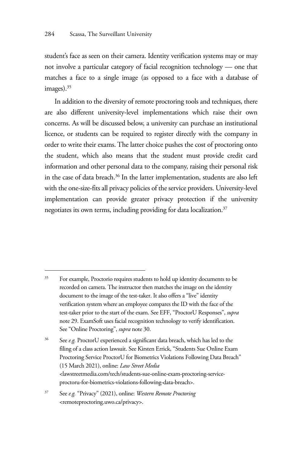student's face as seen on their camera. Identity verification systems may or may not involve a particular category of facial recognition technology — one that matches a face to a single image (as opposed to a face with a database of images).<sup>35</sup>

In addition to the diversity of remote proctoring tools and techniques, there are also different university-level implementations which raise their own concerns. As will be discussed below, a university can purchase an institutional licence, or students can be required to register directly with the company in order to write their exams. The latter choice pushes the cost of proctoring onto the student, which also means that the student must provide credit card information and other personal data to the company, raising their personal risk in the case of data breach.<sup>36</sup> In the latter implementation, students are also left with the one-size-fits all privacy policies of the service providers. University-level implementation can provide greater privacy protection if the university negotiates its own terms, including providing for data localization.<sup>37</sup>

<sup>&</sup>lt;sup>35</sup> For example, Proctorio requires students to hold up identity documents to be recorded on camera. The instructor then matches the image on the identity document to the image of the test-taker. It also offers a "live" identity verification system where an employee compares the ID with the face of the test-taker prior to the start of the exam. See EFF, "ProctorU Responses", *supra* note 29. ExamSoft uses facial recognition technology to verify identification. See "Online Proctoring", *supra* note 30.

<sup>36</sup> See *e.g.* ProctorU experienced a significant data breach, which has led to the filing of a class action lawsuit. See Kirsten Errick, "Students Sue Online Exam Proctoring Service ProctorU for Biometrics Violations Following Data Breach" (15 March 2021), online: *Law Street Media* <lawstreetmedia.com/tech/students-sue-online-exam-proctoring-serviceproctoru-for-biometrics-violations-following-data-breach>.

<sup>37</sup> See *e.g.* "Privacy" (2021), online: *Western Remote Proctoring* <remoteproctoring.uwo.ca/privacy>.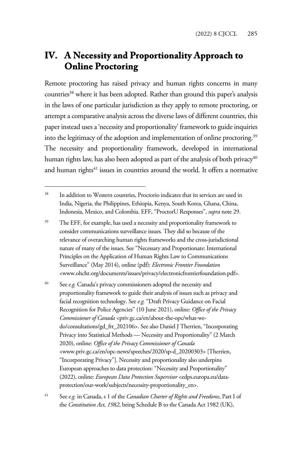# **IV. A Necessity and Proportionality Approach to Online Proctoring**

Remote proctoring has raised privacy and human rights concerns in many countries<sup>38</sup> where it has been adopted. Rather than ground this paper's analysis in the laws of one particular jurisdiction as they apply to remote proctoring, or attempt a comparative analysis across the diverse laws of different countries, this paper instead uses a 'necessity and proportionality' framework to guide inquiries into the legitimacy of the adoption and implementation of online proctoring.39 The necessity and proportionality framework, developed in international human rights law, has also been adopted as part of the analysis of both privacy<sup>40</sup> and human rights<sup>41</sup> issues in countries around the world. It offers a normative

40 See *e.g.* Canada's privacy commissioners adopted the necessity and proportionality framework to guide their analysis of issues such as privacy and facial recognition technology. See *e.g.* "Draft Privacy Guidance on Facial Recognition for Police Agencies" (10 June 2021), online: *Office of the Privacy Commissioner of Canada* <priv.gc.ca/en/about-the-opc/what-wedo/consultations/gd\_frt\_202106>. See also Daniel J Therrien, "Incorporating Privacy into Statistical Methods — Necessity and Proportionality" (2 March 2020), online: *Office of the Privacy Commissioner of Canada* <www.priv.gc.ca/en/opc-news/speeches/2020/sp-d\_20200303> [Therrien, "Incorporating Privacy"]. Necessity and proportionality also underpins European approaches to data protection: "Necessity and Proportionality" (2022), online: *European Data Protection Supervisor* <edps.europa.eu/dataprotection/our-work/subjects/necessity-proportionality\_en>.

<sup>38</sup> In addition to Western countries, Proctorio indicates that its services are used in India, Nigeria, the Philippines, Ethiopia, Kenya, South Korea, Ghana, China, Indonesia, Mexico, and Colombia. EFF, "ProctorU Responses", *supra* note 29.

<sup>&</sup>lt;sup>39</sup> The EFF, for example, has used a necessity and proportionality framework to consider communications surveillance issues. They did so because of the relevance of overarching human rights frameworks and the cross-jurisdictional nature of many of the issues. See "Necessary and Proportionate: International Principles on the Application of Human Rights Law to Communications Surveillance" (May 2014), online (pdf): *Electronic Frontier Foundation* <www.ohchr.org/documents/issues/privacy/electronicfrontierfoundation.pdf>.

<sup>41</sup> See *e.g.* in Canada, s 1 of the *Canadian Charter of Rights and Freedoms*, Part I of the *Constitution Act, 1982*, being Schedule B to the Canada Act 1982 (UK),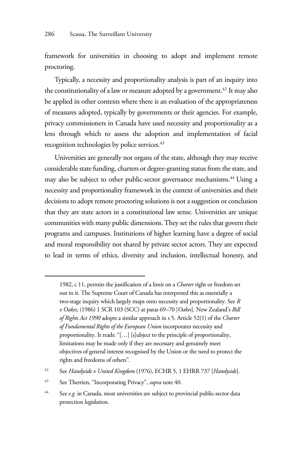framework for universities in choosing to adopt and implement remote proctoring.

Typically, a necessity and proportionality analysis is part of an inquiry into the constitutionality of a law or measure adopted by a government.<sup>42</sup> It may also be applied in other contexts where there is an evaluation of the appropriateness of measures adopted, typically by governments or their agencies. For example, privacy commissioners in Canada have used necessity and proportionality as a lens through which to assess the adoption and implementation of facial recognition technologies by police services.<sup>43</sup>

Universities are generally not organs of the state, although they may receive considerable state funding, charters or degree-granting status from the state, and may also be subject to other public-sector governance mechanisms.<sup>44</sup> Using a necessity and proportionality framework in the context of universities and their decisions to adopt remote proctoring solutions is not a suggestion or conclusion that they are state actors in a constitutional law sense. Universities are unique communities with many public dimensions. They set the rules that govern their programs and campuses. Institutions of higher learning have a degree of social and moral responsibility not shared by private sector actors. They are expected to lead in terms of ethics, diversity and inclusion, intellectual honesty, and

<sup>1982,</sup> c 11, permits the justification of a limit on a *Charter* right or freedom set out in it. The Supreme Court of Canada has interpreted this as essentially a two-stage inquiry which largely maps onto necessity and proportionality. See *R v Oakes*, (1986) 1 SCR 103 (SCC) at paras 69–70 [*Oakes*]. New Zealand's *Bill of Rights Act 1990* adopts a similar approach in s 5. Article 52(1) of the *Charter of Fundamental Rights of the European Union* incorporates necessity and proportionality. It reads: "[…] [s]ubject to the principle of proportionality, limitations may be made only if they are necessary and genuinely meet objectives of general interest recognised by the Union or the need to protect the rights and freedoms of others".

<sup>42</sup> See *Handyside v United Kingdom* (1976), ECHR 5, 1 EHRR 737 [*Handyside*].

<sup>43</sup> See Therrien, "Incorporating Privacy", *supra* note 40.

<sup>44</sup> See *e.g.* in Canada, most universities are subject to provincial public-sector data protection legislation.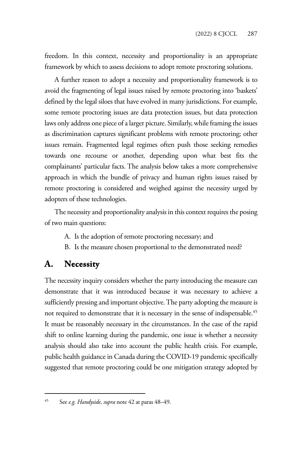freedom. In this context, necessity and proportionality is an appropriate framework by which to assess decisions to adopt remote proctoring solutions.

A further reason to adopt a necessity and proportionality framework is to avoid the fragmenting of legal issues raised by remote proctoring into 'baskets' defined by the legal siloes that have evolved in many jurisdictions. For example, some remote proctoring issues are data protection issues, but data protection laws only address one piece of a larger picture. Similarly, while framing the issues as discrimination captures significant problems with remote proctoring; other issues remain. Fragmented legal regimes often push those seeking remedies towards one recourse or another, depending upon what best fits the complainants' particular facts. The analysis below takes a more comprehensive approach in which the bundle of privacy and human rights issues raised by remote proctoring is considered and weighed against the necessity urged by adopters of these technologies.

The necessity and proportionality analysis in this context requires the posing of two main questions:

- A. Is the adoption of remote proctoring necessary; and
- B. Is the measure chosen proportional to the demonstrated need?

#### **A. Necessity**

The necessity inquiry considers whether the party introducing the measure can demonstrate that it was introduced because it was necessary to achieve a sufficiently pressing and important objective. The party adopting the measure is not required to demonstrate that it is necessary in the sense of indispensable.<sup>45</sup> It must be reasonably necessary in the circumstances. In the case of the rapid shift to online learning during the pandemic, one issue is whether a necessity analysis should also take into account the public health crisis. For example, public health guidance in Canada during the COVID-19 pandemic specifically suggested that remote proctoring could be one mitigation strategy adopted by

<sup>45</sup> See *e.g. Handyside*, *supra* note 42 at paras 48–49.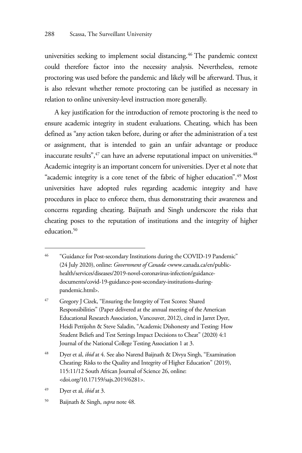universities seeking to implement social distancing.<sup>46</sup> The pandemic context could therefore factor into the necessity analysis. Nevertheless, remote proctoring was used before the pandemic and likely will be afterward. Thus, it is also relevant whether remote proctoring can be justified as necessary in relation to online university-level instruction more generally.

A key justification for the introduction of remote proctoring is the need to ensure academic integrity in student evaluations. Cheating, which has been defined as "any action taken before, during or after the administration of a test or assignment, that is intended to gain an unfair advantage or produce inaccurate results",<sup>47</sup> can have an adverse reputational impact on universities.<sup>48</sup> Academic integrity is an important concern for universities. Dyer et al note that "academic integrity is a core tenet of the fabric of higher education".<sup>49</sup> Most universities have adopted rules regarding academic integrity and have procedures in place to enforce them, thus demonstrating their awareness and concerns regarding cheating. Baijnath and Singh underscore the risks that cheating poses to the reputation of institutions and the integrity of higher education.<sup>50</sup>

<sup>&</sup>lt;sup>46</sup> "Guidance for Post-secondary Institutions during the COVID-19 Pandemic" (24 July 2020), online: *Government of Canada* <www.canada.ca/en/publichealth/services/diseases/2019-novel-coronavirus-infection/guidancedocuments/covid-19-guidance-post-secondary-institutions-duringpandemic.html>.

<sup>47</sup> Gregory J Cizek, "Ensuring the Integrity of Test Scores: Shared Responsibilities" (Paper delivered at the annual meeting of the American Educational Research Association, Vancouver, 2012), cited in Jarret Dyer, Heidi Pettijohn & Steve Saladin, "Academic Dishonesty and Testing: How Student Beliefs and Test Settings Impact Decisions to Cheat" (2020) 4:1 Journal of the National College Testing Association 1 at 3.

<sup>48</sup> Dyer et al, *ibid* at 4. See also Narend Baijnath & Divya Singh, "Examination Cheating: Risks to the Quality and Integrity of Higher Education" (2019), 115:11/12 South African Journal of Science 26, online: <doi.org/10.17159/sajs.2019/6281>.

<sup>49</sup> Dyer et al, *ibid* at 3.

<sup>50</sup> Baijnath & Singh, *supra* note 48.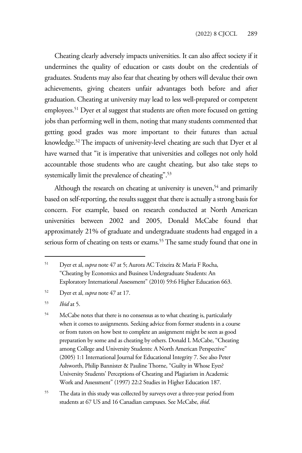Cheating clearly adversely impacts universities. It can also affect society if it undermines the quality of education or casts doubt on the credentials of graduates. Students may also fear that cheating by others will devalue their own achievements, giving cheaters unfair advantages both before and after graduation. Cheating at university may lead to less well-prepared or competent employees.<sup>51</sup> Dyer et al suggest that students are often more focused on getting jobs than performing well in them, noting that many students commented that getting good grades was more important to their futures than actual knowledge.52 The impacts of university-level cheating are such that Dyer et al have warned that "it is imperative that universities and colleges not only hold accountable those students who are caught cheating, but also take steps to systemically limit the prevalence of cheating".<sup>53</sup>

Although the research on cheating at university is uneven,<sup>54</sup> and primarily based on self-reporting, the results suggest that there is actually a strong basis for concern. For example, based on research conducted at North American universities between 2002 and 2005, Donald McCabe found that approximately 21% of graduate and undergraduate students had engaged in a serious form of cheating on tests or exams.<sup>55</sup> The same study found that one in

55 The data in this study was collected by surveys over a three-year period from students at 67 US and 16 Canadian campuses. See McCabe, *ibid*.

<sup>51</sup> Dyer et al, *supra* note 47 at 5; Aurora AC Teixeira & Maria F Rocha, "Cheating by Economics and Business Undergraduate Students: An Exploratory International Assessment" (2010) 59:6 Higher Education 663.

<sup>52</sup> Dyer et al, *supra* note 47 at 17.

<sup>53</sup> *Ibid* at 5.

<sup>54</sup> McCabe notes that there is no consensus as to what cheating is, particularly when it comes to assignments. Seeking advice from former students in a course or from tutors on how best to complete an assignment might be seen as good preparation by some and as cheating by others. Donald L McCabe, "Cheating among College and University Students: A North American Perspective" (2005) 1:1 International Journal for Educational Integrity 7. See also Peter Ashworth, Philip Bannister & Pauline Thorne, "Guilty in Whose Eyes? University Students' Perceptions of Cheating and Plagiarism in Academic Work and Assessment" (1997) 22:2 Studies in Higher Education 187.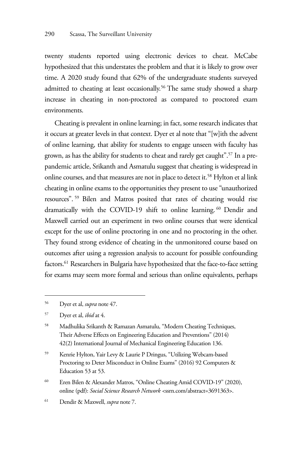twenty students reported using electronic devices to cheat. McCabe hypothesized that this understates the problem and that it is likely to grow over time. A 2020 study found that 62% of the undergraduate students surveyed admitted to cheating at least occasionally.<sup>56</sup> The same study showed a sharp increase in cheating in non-proctored as compared to proctored exam environments.

Cheating is prevalent in online learning; in fact, some research indicates that it occurs at greater levels in that context. Dyer et al note that "[w]ith the advent of online learning, that ability for students to engage unseen with faculty has grown, as has the ability for students to cheat and rarely get caught".<sup>57</sup> In a prepandemic article, Srikanth and Asmatulu suggest that cheating is widespread in online courses, and that measures are not in place to detect it.<sup>58</sup> Hylton et al link cheating in online exams to the opportunities they present to use "unauthorized resources". 59 Bilen and Matros posited that rates of cheating would rise dramatically with the COVID-19 shift to online learning. 60 Dendir and Maxwell carried out an experiment in two online courses that were identical except for the use of online proctoring in one and no proctoring in the other. They found strong evidence of cheating in the unmonitored course based on outcomes after using a regression analysis to account for possible confounding factors.<sup>61</sup> Researchers in Bulgaria have hypothesized that the face-to-face setting for exams may seem more formal and serious than online equivalents, perhaps

57 Dyer et al, *ibid* at 4.

- 59 Kenrie Hylton, Yair Levy & Laurie P Dringus, "Utilizing Webcam-based Proctoring to Deter Misconduct in Online Exams" (2016) 92 Computers & Education 53 at 53.
- 60 Eren Bilen & Alexander Matros, "Online Cheating Amid COVID-19" (2020), online (pdf): *Social Science Research Network <*ssrn.com/abstract=3691363>.
- 61 Dendir & Maxwell, *supra* note 7.

<sup>56</sup> Dyer et al, *supra* note 47.

<sup>58</sup> Madhulika Srikanth & Ramazan Asmatulu, "Modern Cheating Techniques, Their Adverse Effects on Engineering Education and Preventions" (2014) 42(2) International Journal of Mechanical Engineering Education 136.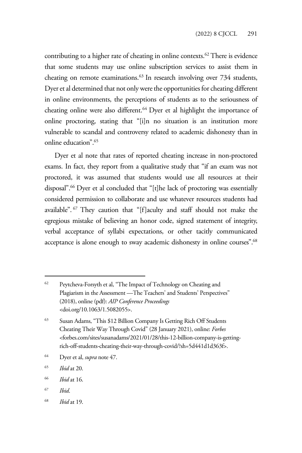contributing to a higher rate of cheating in online contexts.<sup>62</sup> There is evidence that some students may use online subscription services to assist them in cheating on remote examinations.<sup>63</sup> In research involving over 734 students, Dyer et al determined that not only were the opportunities for cheating different in online environments, the perceptions of students as to the seriousness of cheating online were also different.<sup>64</sup> Dyer et al highlight the importance of online proctoring, stating that "[i]n no situation is an institution more vulnerable to scandal and controversy related to academic dishonesty than in online education".65

Dyer et al note that rates of reported cheating increase in non-proctored exams. In fact, they report from a qualitative study that "if an exam was not proctored, it was assumed that students would use all resources at their disposal".66 Dyer et al concluded that "[t]he lack of proctoring was essentially considered permission to collaborate and use whatever resources students had available". 67 They caution that "[f]aculty and staff should not make the egregious mistake of believing an honor code, signed statement of integrity, verbal acceptance of syllabi expectations, or other tacitly communicated acceptance is alone enough to sway academic dishonesty in online courses".<sup>68</sup>

- 64 Dyer et al, *supra* note 47.
- 65 *Ibid* at 20.
- 66 *Ibid* at 16.
- 67 *Ibid*.
- 68 *Ibid* at 19.

<sup>62</sup> Peytcheva-Forsyth et al, "The Impact of Technology on Cheating and Plagiarism in the Assessment —The Teachers' and Students' Perspectives" (2018), online (pdf): *AIP Conference Proceedings* <doi.org/10.1063/1.5082055>.

<sup>63</sup> Susan Adams, "This \$12 Billion Company Is Getting Rich Off Students Cheating Their Way Through Covid" (28 January 2021), online: *Forbes* <forbes.com/sites/susanadams/2021/01/28/this-12-billion-company-is-gettingrich-off-students-cheating-their-way-through-covid/?sh=5d441d1d363f>.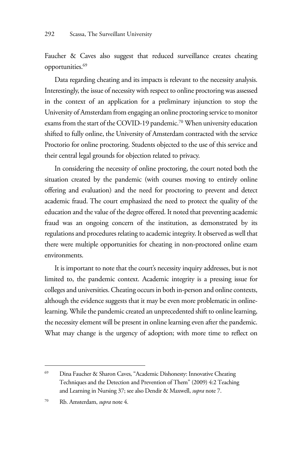Faucher & Caves also suggest that reduced surveillance creates cheating opportunities.<sup>69</sup>

Data regarding cheating and its impacts is relevant to the necessity analysis. Interestingly, the issue of necessity with respect to online proctoring was assessed in the context of an application for a preliminary injunction to stop the University of Amsterdam from engaging an online proctoring service to monitor exams from the start of the COVID-19 pandemic.<sup>70</sup> When university education shifted to fully online, the University of Amsterdam contracted with the service Proctorio for online proctoring. Students objected to the use of this service and their central legal grounds for objection related to privacy.

In considering the necessity of online proctoring, the court noted both the situation created by the pandemic (with courses moving to entirely online offering and evaluation) and the need for proctoring to prevent and detect academic fraud. The court emphasized the need to protect the quality of the education and the value of the degree offered. It noted that preventing academic fraud was an ongoing concern of the institution, as demonstrated by its regulations and procedures relating to academic integrity. It observed as well that there were multiple opportunities for cheating in non-proctored online exam environments.

It is important to note that the court's necessity inquiry addresses, but is not limited to, the pandemic context. Academic integrity is a pressing issue for colleges and universities. Cheating occurs in both in-person and online contexts, although the evidence suggests that it may be even more problematic in onlinelearning. While the pandemic created an unprecedented shift to online learning, the necessity element will be present in online learning even after the pandemic. What may change is the urgency of adoption; with more time to reflect on

<sup>69</sup> Dina Faucher & Sharon Caves, "Academic Dishonesty: Innovative Cheating Techniques and the Detection and Prevention of Them" (2009) 4:2 Teaching and Learning in Nursing 37; see also Dendir & Maxwell, *supra* note 7.

<sup>70</sup> Rb. Amsterdam, *supra* note 4.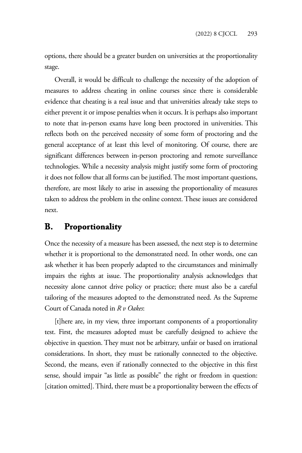options, there should be a greater burden on universities at the proportionality stage.

Overall, it would be difficult to challenge the necessity of the adoption of measures to address cheating in online courses since there is considerable evidence that cheating is a real issue and that universities already take steps to either prevent it or impose penalties when it occurs. It is perhaps also important to note that in-person exams have long been proctored in universities. This reflects both on the perceived necessity of some form of proctoring and the general acceptance of at least this level of monitoring. Of course, there are significant differences between in-person proctoring and remote surveillance technologies. While a necessity analysis might justify some form of proctoring it does not follow that all forms can be justified. The most important questions, therefore, are most likely to arise in assessing the proportionality of measures taken to address the problem in the online context. These issues are considered next.

## **B. Proportionality**

Once the necessity of a measure has been assessed, the next step is to determine whether it is proportional to the demonstrated need. In other words, one can ask whether it has been properly adapted to the circumstances and minimally impairs the rights at issue. The proportionality analysis acknowledges that necessity alone cannot drive policy or practice; there must also be a careful tailoring of the measures adopted to the demonstrated need. As the Supreme Court of Canada noted in *R v Oakes*:

[t]here are, in my view, three important components of a proportionality test. First, the measures adopted must be carefully designed to achieve the objective in question. They must not be arbitrary, unfair or based on irrational considerations. In short, they must be rationally connected to the objective. Second, the means, even if rationally connected to the objective in this first sense, should impair "as little as possible" the right or freedom in question: [citation omitted]. Third, there must be a proportionality between the effects of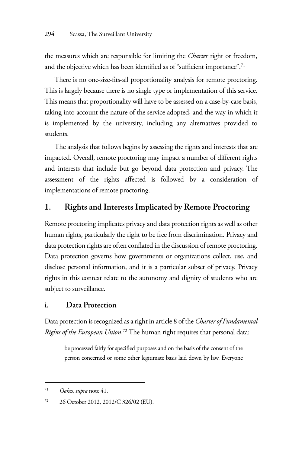the measures which are responsible for limiting the *Charter* right or freedom, and the objective which has been identified as of "sufficient importance".<sup>71</sup>

There is no one-size-fits-all proportionality analysis for remote proctoring. This is largely because there is no single type or implementation of this service. This means that proportionality will have to be assessed on a case-by-case basis, taking into account the nature of the service adopted, and the way in which it is implemented by the university, including any alternatives provided to students.

The analysis that follows begins by assessing the rights and interests that are impacted. Overall, remote proctoring may impact a number of different rights and interests that include but go beyond data protection and privacy. The assessment of the rights affected is followed by a consideration of implementations of remote proctoring.

### **1. Rights and Interests Implicated by Remote Proctoring**

Remote proctoring implicates privacy and data protection rights as well as other human rights, particularly the right to be free from discrimination. Privacy and data protection rights are often conflated in the discussion of remote proctoring. Data protection governs how governments or organizations collect, use, and disclose personal information, and it is a particular subset of privacy. Privacy rights in this context relate to the autonomy and dignity of students who are subject to surveillance.

#### **i. Data Protection**

Data protection is recognized as a right in article 8 of the *Charter of Fundamental Rights of the European Union*. 72 The human right requires that personal data:

be processed fairly for specified purposes and on the basis of the consent of the person concerned or some other legitimate basis laid down by law. Everyone

<sup>71</sup> *Oakes*, *supra* note 41.

<sup>72 26</sup> October 2012, 2012/C 326/02 (EU).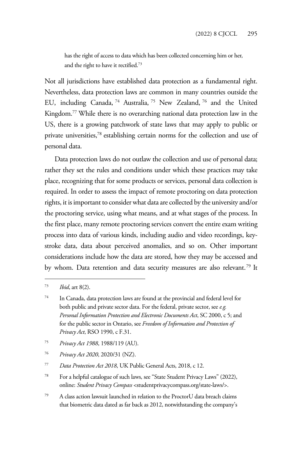has the right of access to data which has been collected concerning him or her, and the right to have it rectified.73

Not all jurisdictions have established data protection as a fundamental right. Nevertheless, data protection laws are common in many countries outside the EU, including Canada, 74 Australia, 75 New Zealand, 76 and the United Kingdom.<sup>77</sup> While there is no overarching national data protection law in the US, there is a growing patchwork of state laws that may apply to public or private universities,<sup>78</sup> establishing certain norms for the collection and use of personal data.

Data protection laws do not outlaw the collection and use of personal data; rather they set the rules and conditions under which these practices may take place, recognizing that for some products or services, personal data collection is required. In order to assess the impact of remote proctoring on data protection rights, it is important to consider what data are collected by the university and/or the proctoring service, using what means, and at what stages of the process. In the first place, many remote proctoring services convert the entire exam writing process into data of various kinds, including audio and video recordings, keystroke data, data about perceived anomalies, and so on. Other important considerations include how the data are stored, how they may be accessed and by whom. Data retention and data security measures are also relevant.<sup>79</sup> It

- 75 *Privacy Act 1988*, 1988/119 (AU).
- 76 *Privacy Act 2020*, 2020/31 (NZ).
- 77 *Data Protection Act 2018*, UK Public General Acts, 2018, c 12.
- 78 For a helpful catalogue of such laws, see "State Student Privacy Laws" (2022), online: *Student Privacy Compass* <studentprivacycompass.org/state-laws/>.
- 79 A class action lawsuit launched in relation to the ProctorU data breach claims that biometric data dated as far back as 2012, notwithstanding the company's

<sup>73</sup> *Ibid*, art 8(2).

<sup>74</sup> In Canada, data protection laws are found at the provincial and federal level for both public and private sector data. For the federal, private sector, see *e.g. Personal Information Protection and Electronic Documents Act*, SC 2000, c 5; and for the public sector in Ontario, see *Freedom of Information and Protection of Privacy Act*, RSO 1990, c F.31.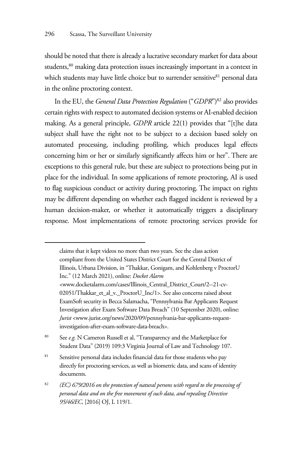should be noted that there is already a lucrative secondary market for data about students,<sup>80</sup> making data protection issues increasingly important in a context in which students may have little choice but to surrender sensitive<sup>81</sup> personal data in the online proctoring context.

In the EU, the *General Data Protection Regulation* ("*GDPR*")<sup>82</sup> also provides certain rights with respect to automated decision systems or AI-enabled decision making. As a general principle, *GDPR* article 22(1) provides that "[t]he data subject shall have the right not to be subject to a decision based solely on automated processing, including profiling, which produces legal effects concerning him or her or similarly significantly affects him or her". There are exceptions to this general rule, but these are subject to protections being put in place for the individual. In some applications of remote proctoring, AI is used to flag suspicious conduct or activity during proctoring. The impact on rights may be different depending on whether each flagged incident is reviewed by a human decision-maker, or whether it automatically triggers a disciplinary response. Most implementations of remote proctoring services provide for

claims that it kept videos no more than two years. See the class action compliant from the United States District Court for the Central District of Illinois, Urbana Division, in "Thakkar, Gonigam, and Kohlenberg v ProctorU Inc." (12 March 2021), online: *Docket Alarm* <www.docketalarm.com/cases/Illinois\_Central\_District\_Court/2--21-cv-02051/Thakkar\_et\_al\_v.\_ProctorU\_Inc/1>. See also concerns raised about ExamSoft security in Becca Salamacha, "Pennsylvania Bar Applicants Request Investigation after Exam Software Data Breach" (10 September 2020), online: *Jurist* <www.jurist.org/news/2020/09/pennsylvania-bar-applicants-requestinvestigation-after-exam-software-data-breach>.

80 See *e.g.* N Cameron Russell et al, "Transparency and the Marketplace for Student Data" (2019) 109:3 Virginia Journal of Law and Technology 107.

<sup>81</sup> Sensitive personal data includes financial data for those students who pay directly for proctoring services, as well as biometric data, and scans of identity documents.

<sup>82</sup> *(EC) 679/2016 on the protection of natural persons with regard to the processing of personal data and on the free movement of such data, and repealing Directive 95/46/EC*, [2016] OJ, L 119/1.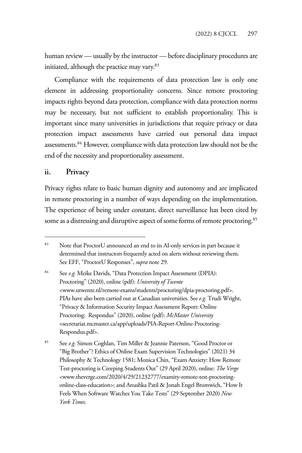human review — usually by the instructor — before disciplinary procedures are initiated, although the practice may vary.<sup>83</sup>

Compliance with the requirements of data protection law is only one element in addressing proportionality concerns. Since remote proctoring impacts rights beyond data protection, compliance with data protection norms may be necessary, but not sufficient to establish proportionality. This is important since many universities in jurisdictions that require privacy or data protection impact assessments have carried out personal data impact assessments.84 However, compliance with data protection law should not be the end of the necessity and proportionality assessment.

#### **ii. Privacy**

Privacy rights relate to basic human dignity and autonomy and are implicated in remote proctoring in a number of ways depending on the implementation. The experience of being under constant, direct surveillance has been cited by some as a distressing and disruptive aspect of some forms of remote proctoring.<sup>85</sup>

<sup>83</sup> Note that ProctorU announced an end to its AI-only services in part because it determined that instructors frequently acted on alerts without reviewing them. See EFF, "ProctorU Responses", *supra* note 29.

<sup>84</sup> See *e.g.* Meike Davids, "Data Protection Impact Assessment (DPIA): Proctoring" (2020), online (pdf): *University of Twente* <www.utwente.nl/remote-exams/students/proctoring/dpia-proctoring.pdf>. PIAs have also been carried out at Canadian universities. See *e.g.* Trudi Wright, "Privacy & Information Security Impact Assessment Report: Online Proctoring: Respondus" (2020), online (pdf): *McMaster University* <secretariat.mcmaster.ca/app/uploads/PIA-Report-Online-Proctoring-Respondus.pdf>.

<sup>85</sup> See *e.g.* Simon Coghlan, Tim Miller & Jeannie Paterson, "Good Proctor or "Big Brother"? Ethics of Online Exam Supervision Technologies" (2021) 34 Philosophy & Technology 1581; Monica Chin, "Exam Anxiety: How Remote Test-proctoring is Creeping Students Out" (29 April 2020), online: *The Verge*  <www.theverge.com/2020/4/29/21232777/examity-remote-test-proctoringonline-class-education>; and Anushka Patil & Jonah Engel Bromwich, "How It Feels When Software Watches You Take Tests" (29 September 2020) *New York Times*.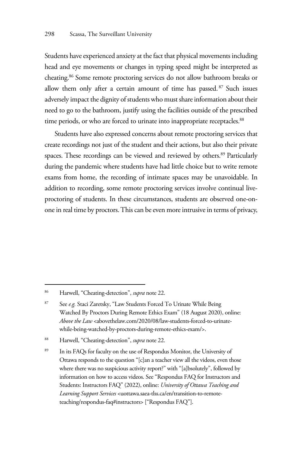Students have experienced anxiety at the fact that physical movements including head and eye movements or changes in typing speed might be interpreted as cheating.86 Some remote proctoring services do not allow bathroom breaks or allow them only after a certain amount of time has passed. 87 Such issues adversely impact the dignity of students who must share information about their need to go to the bathroom, justify using the facilities outside of the prescribed time periods, or who are forced to urinate into inappropriate receptacles.<sup>88</sup>

Students have also expressed concerns about remote proctoring services that create recordings not just of the student and their actions, but also their private spaces. These recordings can be viewed and reviewed by others.<sup>89</sup> Particularly during the pandemic where students have had little choice but to write remote exams from home, the recording of intimate spaces may be unavoidable. In addition to recording, some remote proctoring services involve continual liveproctoring of students. In these circumstances, students are observed one-onone in real time by proctors. This can be even more intrusive in terms of privacy,

<sup>86</sup> Harwell, "Cheating-detection", *supra* note 22.

<sup>87</sup> See *e.g.* Staci Zaretsky, "Law Students Forced To Urinate While Being Watched By Proctors During Remote Ethics Exam" (18 August 2020), online: *Above the Law* <abovethelaw.com/2020/08/law-students-forced-to-urinatewhile-being-watched-by-proctors-during-remote-ethics-exam/>.

<sup>88</sup> Harwell, "Cheating-detection", *supra* note 22.

<sup>89</sup> In its FAQs for faculty on the use of Respondus Monitor, the University of Ottawa responds to the question "[c]an a teacher view all the videos, even those where there was no suspicious activity report?" with "[a]bsolutely", followed by information on how to access videos. See "Respondus FAQ for Instructors and Students: Instructors FAQ" (2022), online: *University of Ottawa Teaching and Learning Support Services* <uottawa.saea-tlss.ca/en/transition-to-remoteteaching/respondus-faq#instructors> ["Respondus FAQ"].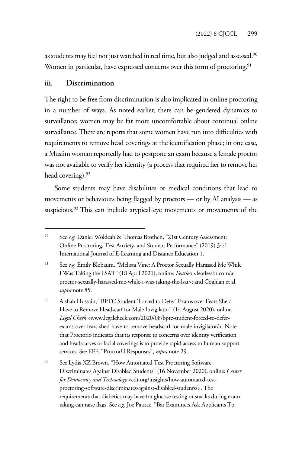as students may feel not just watched in real time, but also judged and assessed.<sup>90</sup> Women in particular, have expressed concerns over this form of proctoring.<sup>91</sup>

#### **iii. Discrimination**

The right to be free from discrimination is also implicated in online proctoring in a number of ways. As noted earlier, there can be gendered dynamics to surveillance; women may be far more uncomfortable about continual online surveillance. There are reports that some women have run into difficulties with requirements to remove head coverings at the identification phase; in one case, a Muslim woman reportedly had to postpone an exam because a female proctor was not available to verify her identity (a process that required her to remove her head covering).<sup>92</sup>

Some students may have disabilities or medical conditions that lead to movements or behaviours being flagged by proctors — or by AI analysis — as suspicious.<sup>93</sup> This can include atypical eye movements or movements of the

<sup>90</sup> See *e.g.* Daniel Woldeab & Thomas Brothen, "21st Century Assessment: Online Proctoring, Test Anxiety, and Student Performance" (2019) 34:1 International Journal of E-Learning and Distance Education 1.

<sup>&</sup>lt;sup>91</sup> See *e.g.* Emily Blobaum, "Melissa Vine: A Proctor Sexually Harassed Me While I Was Taking the LSAT" (18 April 2021), online: *Fearless* <fearlessbr.com/aproctor-sexually-harassed-me-while-i-was-taking-the-lsat>; and Coghlan et al, *supra* note 85.

<sup>92</sup> Aishah Hussain, "BPTC Student 'Forced to Defer' Exams over Fears She'd Have to Remove Headscarf for Male Invigilator" (14 August 2020), online: *Legal Cheek* <www.legalcheek.com/2020/08/bptc-student-forced-to-deferexams-over-fears-shed-have-to-remove-headscarf-for-male-invigilator/>. Note that Proctorio indicates that its response to concerns over identity verification and headscarves or facial coverings is to provide rapid access to human support services. See EFF, "ProctorU Responses", *supra* note 29.

<sup>93</sup> See Lydia XZ Brown, "How Automated Test Proctoring Software Discriminates Against Disabled Students" (16 November 2020), online: *Center for Democracy and Technology* <cdt.org/insights/how-automated-testproctoring-software-discriminates-against-disabled-students/>. The requirements that diabetics may have for glucose testing or snacks during exam taking can raise flags. See *e.g.* Joe Patrice, "Bar Examiners Ask Applicants To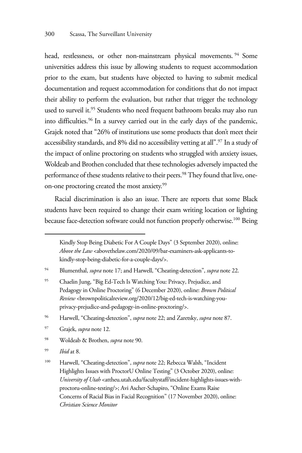head, restlessness, or other non-mainstream physical movements.<sup>94</sup> Some universities address this issue by allowing students to request accommodation prior to the exam, but students have objected to having to submit medical documentation and request accommodation for conditions that do not impact their ability to perform the evaluation, but rather that trigger the technology used to surveil it.<sup>95</sup> Students who need frequent bathroom breaks may also run into difficulties.96 In a survey carried out in the early days of the pandemic, Grajek noted that "26% of institutions use some products that don't meet their accessibility standards, and 8% did no accessibility vetting at all".97 In a study of the impact of online proctoring on students who struggled with anxiety issues, Woldeab and Brothen concluded that these technologies adversely impacted the performance of these students relative to their peers.<sup>98</sup> They found that live, oneon-one proctoring created the most anxiety.<sup>99</sup>

Racial discrimination is also an issue. There are reports that some Black students have been required to change their exam writing location or lighting because face-detection software could not function properly otherwise.100 Being

97 Grajek, *supra* note 12.

98 Woldeab & Brothen, *supra* note 90.

99 *Ibid* at 8.

Kindly Stop Being Diabetic For A Couple Days" (3 September 2020), online: *Above the Law* <abovethelaw.com/2020/09/bar-examiners-ask-applicants-tokindly-stop-being-diabetic-for-a-couple-days/>.

<sup>94</sup> Blumenthal, *supra* note 17; and Harwell, "Cheating-detection", *supra* note 22.

<sup>95</sup> Chaelin Jung, "Big Ed-Tech Is Watching You: Privacy, Prejudice, and Pedagogy in Online Proctoring" (6 December 2020), online: *Brown Political Review* <brownpoliticalreview.org/2020/12/big-ed-tech-is-watching-youprivacy-prejudice-and-pedagogy-in-online-proctoring/>.

<sup>96</sup> Harwell, "Cheating-detection", *supra* note 22; and Zaretsky, *supra* note 87.

<sup>100</sup> Harwell, "Cheating-detection", *supra* note 22; Rebecca Walsh, "Incident Highlights Issues with ProctorU Online Testing" (3 October 2020), online: *University of Utah* <attheu.utah.edu/facultystaff/incident-highlights-issues-withproctoru-online-testing/>; Avi Ascher-Schapiro, "Online Exams Raise Concerns of Racial Bias in Facial Recognition" (17 November 2020), online: *Christian Science Monitor*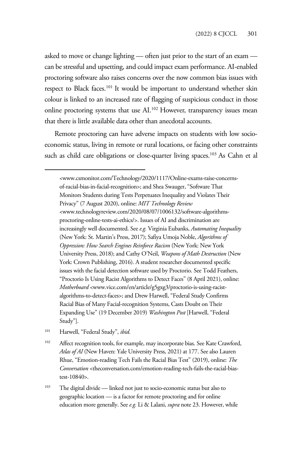asked to move or change lighting — often just prior to the start of an exam can be stressful and upsetting, and could impact exam performance. AI-enabled proctoring software also raises concerns over the now common bias issues with respect to Black faces.<sup>101</sup> It would be important to understand whether skin colour is linked to an increased rate of flagging of suspicious conduct in those online proctoring systems that use AI.102 However, transparency issues mean that there is little available data other than anecdotal accounts.

Remote proctoring can have adverse impacts on students with low socioeconomic status, living in remote or rural locations, or facing other constraints such as child care obligations or close-quarter living spaces.<sup>103</sup> As Cahn et al

<www.csmonitor.com/Technology/2020/1117/Online-exams-raise-concernsof-racial-bias-in-facial-recognition>; and Shea Swauger, "Software That Monitors Students during Tests Perpetuates Inequality and Violates Their Privacy" (7 August 2020), online: *MIT Technology Review* <www.technologyreview.com/2020/08/07/1006132/software-algorithmsproctoring-online-tests-ai-ethics/>. Issues of AI and discrimination are increasingly well documented. See *e.g.* Virginia Eubanks, *Automating Inequality* (New York: St. Martin's Press, 2017); Safiya Umoja Noble, *Algorithms of Oppression: How Search Engines Reinforce Racism* (New York: New York University Press, 2018); and Cathy O'Neil, *Weapons of Math Destruction* (New York: Crown Publishing, 2016). A student researcher documented specific issues with the facial detection software used by Proctorio. See Todd Feathers, "Proctorio Is Using Racist Algorithms to Detect Faces" (8 April 2021), online: *Motherboard* <www.vice.com/en/article/g5gxg3/proctorio-is-using-racistalgorithms-to-detect-faces>; and Drew Harwell, "Federal Study Confirms Racial Bias of Many Facial-recognition Systems, Casts Doubt on Their Expanding Use" (19 December 2019) *Washington Post* [Harwell, "Federal Study"].

- 101 Harwell, "Federal Study", *ibid*.
- <sup>102</sup> Affect recognition tools, for example, may incorporate bias. See Kate Crawford, *Atlas of AI* (New Haven: Yale University Press, 2021) at 177. See also Lauren Rhue, "Emotion-reading Tech Fails the Racial Bias Test" (2019), online: *The Conversation* <theconversation.com/emotion-reading-tech-fails-the-racial-biastest-10840>.
- <sup>103</sup> The digital divide linked not just to socio-economic status but also to geographic location — is a factor for remote proctoring and for online education more generally. See *e.g.* Li & Lalani, *supra* note 23. However, while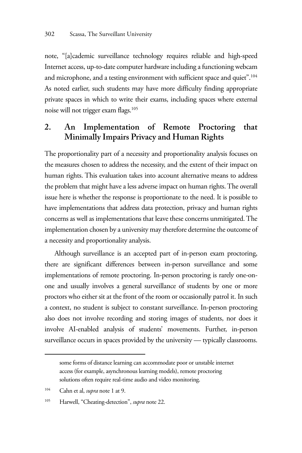note, "[a]cademic surveillance technology requires reliable and high-speed Internet access, up-to-date computer hardware including a functioning webcam and microphone, and a testing environment with sufficient space and quiet".<sup>104</sup> As noted earlier, such students may have more difficulty finding appropriate private spaces in which to write their exams, including spaces where external noise will not trigger exam flags.<sup>105</sup>

## **2. An Implementation of Remote Proctoring that Minimally Impairs Privacy and Human Rights**

The proportionality part of a necessity and proportionality analysis focuses on the measures chosen to address the necessity, and the extent of their impact on human rights. This evaluation takes into account alternative means to address the problem that might have a less adverse impact on human rights. The overall issue here is whether the response is proportionate to the need. It is possible to have implementations that address data protection, privacy and human rights concerns as well as implementations that leave these concerns unmitigated. The implementation chosen by a university may therefore determine the outcome of a necessity and proportionality analysis.

Although surveillance is an accepted part of in-person exam proctoring, there are significant differences between in-person surveillance and some implementations of remote proctoring. In-person proctoring is rarely one-onone and usually involves a general surveillance of students by one or more proctors who either sit at the front of the room or occasionally patrol it. In such a context, no student is subject to constant surveillance. In-person proctoring also does not involve recording and storing images of students, nor does it involve AI-enabled analysis of students' movements. Further, in-person surveillance occurs in spaces provided by the university — typically classrooms.

some forms of distance learning can accommodate poor or unstable internet access (for example, asynchronous learning models), remote proctoring solutions often require real-time audio and video monitoring.

<sup>104</sup> Cahn et al, *supra* note 1 at 9.

<sup>105</sup> Harwell, "Cheating-detection", *supra* note 22.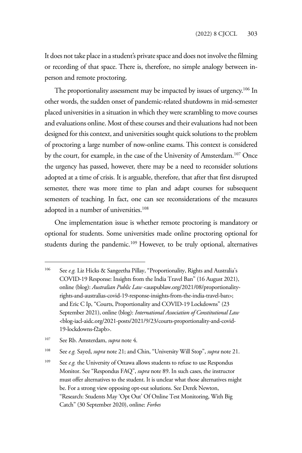It does not take place in a student's private space and does not involve the filming or recording of that space. There is, therefore, no simple analogy between inperson and remote proctoring.

The proportionality assessment may be impacted by issues of urgency.<sup>106</sup> In other words, the sudden onset of pandemic-related shutdowns in mid-semester placed universities in a situation in which they were scrambling to move courses and evaluations online. Most of these courses and their evaluations had not been designed for this context, and universities sought quick solutions to the problem of proctoring a large number of now-online exams. This context is considered by the court, for example, in the case of the University of Amsterdam.<sup>107</sup> Once the urgency has passed, however, there may be a need to reconsider solutions adopted at a time of crisis. It is arguable, therefore, that after that first disrupted semester, there was more time to plan and adapt courses for subsequent semesters of teaching. In fact, one can see reconsiderations of the measures adopted in a number of universities.108

One implementation issue is whether remote proctoring is mandatory or optional for students. Some universities made online proctoring optional for students during the pandemic.109 However, to be truly optional, alternatives

<sup>106</sup> See *e.g.* Liz Hicks & Sangeetha Pillay, "Proportionality, Rights and Australia's COVID-19 Response: Insights from the India Travel Ban" (16 August 2021), online (blog): *Australian Public Law* <auspublaw.org/2021/08/proportionalityrights-and-australias-covid-19-response-insights-from-the-india-travel-ban>; and Eric C Ip, "Courts, Proportionality and COVID-19 Lockdowns" (23 September 2021), online (blog): *International Association of Constitutional Law* <blog-iacl-aidc.org/2021-posts/2021/9/23/courts-proportionality-and-covid-19-lockdowns-f2apb>.

<sup>107</sup> See Rb. Amsterdam, *supra* note 4.

<sup>108</sup> See *e.g.* Sayed, *supra* note 21; and Chin, "University Will Stop", *supra* note 21.

<sup>&</sup>lt;sup>109</sup> See *e.g.* the University of Ottawa allows students to refuse to use Respondus Monitor. See "Respondus FAQ", *supra* note 89. In such cases, the instructor must offer alternatives to the student. It is unclear what those alternatives might be. For a strong view opposing opt-out solutions. See Derek Newton, "Research: Students May 'Opt Out' Of Online Test Monitoring, With Big Catch" (30 September 2020), online: *Forbes*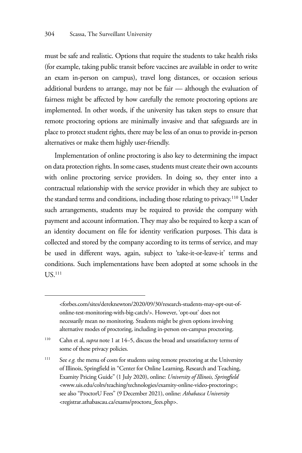must be safe and realistic. Options that require the students to take health risks (for example, taking public transit before vaccines are available in order to write an exam in-person on campus), travel long distances, or occasion serious additional burdens to arrange, may not be fair — although the evaluation of fairness might be affected by how carefully the remote proctoring options are implemented. In other words, if the university has taken steps to ensure that remote proctoring options are minimally invasive and that safeguards are in place to protect student rights, there may be less of an onus to provide in-person alternatives or make them highly user-friendly.

Implementation of online proctoring is also key to determining the impact on data protection rights. In some cases, students must create their own accounts with online proctoring service providers. In doing so, they enter into a contractual relationship with the service provider in which they are subject to the standard terms and conditions, including those relating to privacy.<sup>110</sup> Under such arrangements, students may be required to provide the company with payment and account information. They may also be required to keep a scan of an identity document on file for identity verification purposes. This data is collected and stored by the company according to its terms of service, and may be used in different ways, again, subject to 'take-it-or-leave-it' terms and conditions. Such implementations have been adopted at some schools in the **US**<sup>111</sup>

<sup>&</sup>lt;forbes.com/sites/dereknewton/2020/09/30/research-students-may-opt-out-ofonline-test-monitoring-with-big-catch/>. However, 'opt-out' does not necessarily mean no monitoring. Students might be given options involving alternative modes of proctoring, including in-person on-campus proctoring.

<sup>110</sup> Cahn et al, *supra* note 1 at 14–5, discuss the broad and unsatisfactory terms of some of these privacy policies.

<sup>&</sup>lt;sup>111</sup> See *e.g.* the menu of costs for students using remote proctoring at the University of Illinois, Springfield in "Center for Online Learning, Research and Teaching, Examity Pricing Guide" (1 July 2020), online: *University of Illinois, Springfield* <www.uis.edu/colrs/teaching/technologies/examity-online-video-proctoring>; see also "ProctorU Fees" (9 December 2021), online: *Athabasca University* <registrar.athabascau.ca/exams/proctoru\_fees.php>.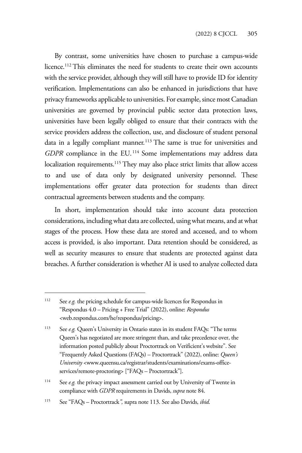By contrast, some universities have chosen to purchase a campus-wide licence.<sup>112</sup> This eliminates the need for students to create their own accounts with the service provider, although they will still have to provide ID for identity verification. Implementations can also be enhanced in jurisdictions that have privacy frameworks applicable to universities. For example, since most Canadian universities are governed by provincial public sector data protection laws, universities have been legally obliged to ensure that their contracts with the service providers address the collection, use, and disclosure of student personal data in a legally compliant manner.<sup>113</sup> The same is true for universities and *GDPR* compliance in the EU. 114 Some implementations may address data localization requirements.<sup>115</sup> They may also place strict limits that allow access to and use of data only by designated university personnel. These implementations offer greater data protection for students than direct contractual agreements between students and the company.

In short, implementation should take into account data protection considerations, including what data are collected, using what means, and at what stages of the process. How these data are stored and accessed, and to whom access is provided, is also important. Data retention should be considered, as well as security measures to ensure that students are protected against data breaches. A further consideration is whether AI is used to analyze collected data

<sup>&</sup>lt;sup>112</sup> See *e.g.* the pricing schedule for campus-wide licences for Respondus in "Respondus 4.0 – Pricing + Free Trial" (2022), online: *Respondus* <web.respondus.com/he/respondus/pricing>.

<sup>&</sup>lt;sup>113</sup> See *e.g.* Queen's University in Ontario states in its student FAQs: "The terms Queen's has negotiated are more stringent than, and take precedence over, the information posted publicly about Proctortrack on Verificient's website". See "Frequently Asked Questions (FAQs) – Proctortrack" (2022), online: *Queen's University* <www.queensu.ca/registrar/students/examinations/exams-officeservices/remote-proctoring> ["FAQs – Proctortrack"].

<sup>&</sup>lt;sup>114</sup> See *e.g.* the privacy impact assessment carried out by University of Twente in compliance with *GDPR* requirements in Davids, *supra* note 84.

<sup>115</sup> See "FAQs – Proctortrack*",* supra note 113. See also Davids, *ibid*.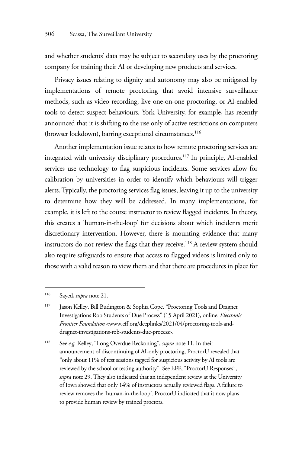and whether students' data may be subject to secondary uses by the proctoring company for training their AI or developing new products and services.

Privacy issues relating to dignity and autonomy may also be mitigated by implementations of remote proctoring that avoid intensive surveillance methods, such as video recording, live one-on-one proctoring, or AI-enabled tools to detect suspect behaviours. York University, for example, has recently announced that it is shifting to the use only of active restrictions on computers (browser lockdown), barring exceptional circumstances.<sup>116</sup>

Another implementation issue relates to how remote proctoring services are integrated with university disciplinary procedures.117 In principle, AI-enabled services use technology to flag suspicious incidents. Some services allow for calibration by universities in order to identify which behaviours will trigger alerts. Typically, the proctoring services flag issues, leaving it up to the university to determine how they will be addressed. In many implementations, for example, it is left to the course instructor to review flagged incidents. In theory, this creates a 'human-in-the-loop' for decisions about which incidents merit discretionary intervention. However, there is mounting evidence that many instructors do not review the flags that they receive.<sup>118</sup> A review system should also require safeguards to ensure that access to flagged videos is limited only to those with a valid reason to view them and that there are procedures in place for

118 See *e.g.* Kelley, "Long Overdue Reckoning", *supra* note 11. In their announcement of discontinuing of AI-only proctoring, ProctorU revealed that "only about 11% of test sessions tagged for suspicious activity by AI tools are reviewed by the school or testing authority". See EFF, "ProctorU Responses", *supra* note 29. They also indicated that an independent review at the University of Iowa showed that only 14% of instructors actually reviewed flags. A failure to review removes the 'human-in-the-loop'. ProctorU indicated that it now plans to provide human review by trained proctors.

<sup>116</sup> Sayed, *supra* note 21.

<sup>&</sup>lt;sup>117</sup> Jason Kelley, Bill Budington & Sophia Cope, "Proctoring Tools and Dragnet Investigations Rob Students of Due Process" (15 April 2021), online: *Electronic Frontier Foundation* <www.eff.org/deeplinks/2021/04/proctoring-tools-anddragnet-investigations-rob-students-due-process>.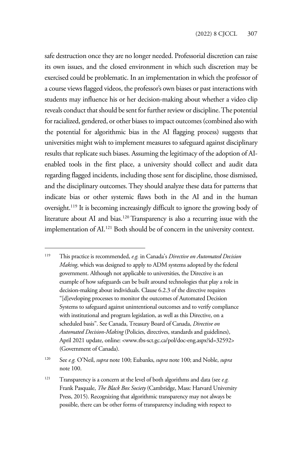safe destruction once they are no longer needed. Professorial discretion can raise its own issues, and the closed environment in which such discretion may be exercised could be problematic. In an implementation in which the professor of a course views flagged videos, the professor's own biases or past interactions with students may influence his or her decision-making about whether a video clip reveals conduct that should be sent for further review or discipline. The potential for racialized, gendered, or other biases to impact outcomes (combined also with the potential for algorithmic bias in the AI flagging process) suggests that universities might wish to implement measures to safeguard against disciplinary results that replicate such biases. Assuming the legitimacy of the adoption of AIenabled tools in the first place, a university should collect and audit data regarding flagged incidents, including those sent for discipline, those dismissed, and the disciplinary outcomes. They should analyze these data for patterns that indicate bias or other systemic flaws both in the AI and in the human oversight.119 It is becoming increasingly difficult to ignore the growing body of literature about AI and bias.120 Transparency is also a recurring issue with the implementation of AI.121 Both should be of concern in the university context.

<sup>119</sup> This practice is recommended, *e.g.* in Canada's *Directive on Automated Decision Making*, which was designed to apply to ADM systems adopted by the federal government. Although not applicable to universities, the Directive is an example of how safeguards can be built around technologies that play a role in decision-making about individuals. Clause 6.2.3 of the directive requires "[d]eveloping processes to monitor the outcomes of Automated Decision Systems to safeguard against unintentional outcomes and to verify compliance with institutional and program legislation, as well as this Directive, on a scheduled basis". See Canada, Treasury Board of Canada, *Directive on Automated Decision-Making* (Policies, directives, standards and guidelines), April 2021 update, online: <www.tbs-sct.gc.ca/pol/doc-eng.aspx?id=32592> (Government of Canada).

<sup>120</sup> See *e.g.* O'Neil, *supra* note 100; Eubanks, *supra* note 100; and Noble, *supra* note 100.

<sup>121</sup> Transparency is a concern at the level of both algorithms and data (see *e.g.* Frank Pasquale, *The Black Box Society* (Cambridge, Mass: Harvard University Press, 2015). Recognizing that algorithmic transparency may not always be possible, there can be other forms of transparency including with respect to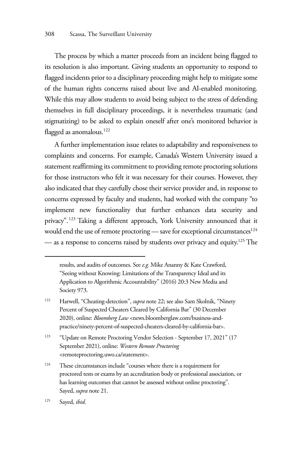The process by which a matter proceeds from an incident being flagged to its resolution is also important. Giving students an opportunity to respond to flagged incidents prior to a disciplinary proceeding might help to mitigate some of the human rights concerns raised about live and AI-enabled monitoring. While this may allow students to avoid being subject to the stress of defending themselves in full disciplinary proceedings, it is nevertheless traumatic (and stigmatizing) to be asked to explain oneself after one's monitored behavior is flagged as anomalous.<sup>122</sup>

A further implementation issue relates to adaptability and responsiveness to complaints and concerns. For example, Canada's Western University issued a statement reaffirming its commitment to providing remote proctoring solutions for those instructors who felt it was necessary for their courses. However, they also indicated that they carefully chose their service provider and, in response to concerns expressed by faculty and students, had worked with the company "to implement new functionality that further enhances data security and privacy".123 Taking a different approach, York University announced that it would end the use of remote proctoring — save for exceptional circumstances<sup>124</sup> — as a response to concerns raised by students over privacy and equity.<sup>125</sup> The

results, and audits of outcomes. See *e.g.* Mike Ananny & Kate Crawford, "Seeing without Knowing: Limitations of the Transparency Ideal and its Application to Algorithmic Accountability" (2016) 20:3 New Media and Society 973.

<sup>122</sup> Harwell, "Cheating-detection", *supra* note 22; see also Sam Skolnik, "Ninety Percent of Suspected Cheaters Cleared by California Bar" (30 December 2020), online: *Bloomberg Law* <news.bloomberglaw.com/business-andpractice/ninety-percent-of-suspected-cheaters-cleared-by-california-bar>.

<sup>123 &</sup>quot;Update on Remote Proctoring Vendor Selection - September 17, 2021" (17 September 2021), online: *Western Remote Proctoring* <remoteproctoring.uwo.ca/statement>.

<sup>&</sup>lt;sup>124</sup> These circumstances include "courses where there is a requirement for proctored tests or exams by an accreditation body or professional association, or has learning outcomes that cannot be assessed without online proctoring". Sayed, *supra* note 21.

<sup>125</sup> Sayed, *ibid*.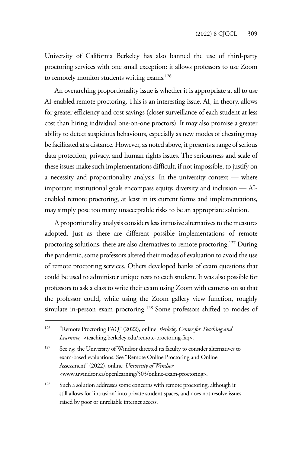University of California Berkeley has also banned the use of third-party proctoring services with one small exception: it allows professors to use Zoom to remotely monitor students writing exams.<sup>126</sup>

An overarching proportionality issue is whether it is appropriate at all to use AI-enabled remote proctoring. This is an interesting issue. AI, in theory, allows for greater efficiency and cost savings (closer surveillance of each student at less cost than hiring individual one-on-one proctors). It may also promise a greater ability to detect suspicious behaviours, especially as new modes of cheating may be facilitated at a distance. However, as noted above, it presents a range of serious data protection, privacy, and human rights issues. The seriousness and scale of these issues make such implementations difficult, if not impossible, to justify on a necessity and proportionality analysis. In the university context — where important institutional goals encompass equity, diversity and inclusion — AIenabled remote proctoring, at least in its current forms and implementations, may simply pose too many unacceptable risks to be an appropriate solution.

A proportionality analysis considers less intrusive alternatives to the measures adopted. Just as there are different possible implementations of remote proctoring solutions, there are also alternatives to remote proctoring.<sup>127</sup> During the pandemic, some professors altered their modes of evaluation to avoid the use of remote proctoring services. Others developed banks of exam questions that could be used to administer unique tests to each student. It was also possible for professors to ask a class to write their exam using Zoom with cameras on so that the professor could, while using the Zoom gallery view function, roughly simulate in-person exam proctoring.<sup>128</sup> Some professors shifted to modes of

<sup>127</sup> See *e.g.* the University of Windsor directed its faculty to consider alternatives to exam-based evaluations. See "Remote Online Proctoring and Online Assessment" (2022), online: *University of Windsor* <www.uwindsor.ca/openlearning/503/online-exam-proctoring>.

<sup>126 &</sup>quot;Remote Proctoring FAQ" (2022), online: *Berkeley Center for Teaching and Learning* <teaching.berkeley.edu/remote-proctoring-faq>.

<sup>&</sup>lt;sup>128</sup> Such a solution addresses some concerns with remote proctoring, although it still allows for 'intrusion' into private student spaces, and does not resolve issues raised by poor or unreliable internet access.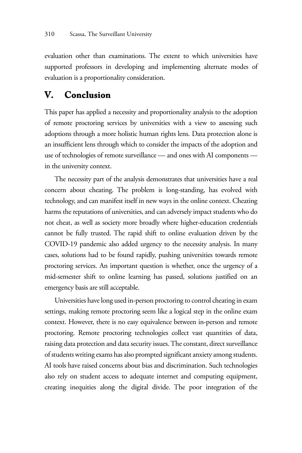evaluation other than examinations. The extent to which universities have supported professors in developing and implementing alternate modes of evaluation is a proportionality consideration.

## **V. Conclusion**

This paper has applied a necessity and proportionality analysis to the adoption of remote proctoring services by universities with a view to assessing such adoptions through a more holistic human rights lens. Data protection alone is an insufficient lens through which to consider the impacts of the adoption and use of technologies of remote surveillance — and ones with AI components in the university context.

The necessity part of the analysis demonstrates that universities have a real concern about cheating. The problem is long-standing, has evolved with technology, and can manifest itself in new ways in the online context. Cheating harms the reputations of universities, and can adversely impact students who do not cheat, as well as society more broadly where higher-education credentials cannot be fully trusted. The rapid shift to online evaluation driven by the COVID-19 pandemic also added urgency to the necessity analysis. In many cases, solutions had to be found rapidly, pushing universities towards remote proctoring services. An important question is whether, once the urgency of a mid-semester shift to online learning has passed, solutions justified on an emergency basis are still acceptable.

Universities have long used in-person proctoring to control cheating in exam settings, making remote proctoring seem like a logical step in the online exam context. However, there is no easy equivalence between in-person and remote proctoring. Remote proctoring technologies collect vast quantities of data, raising data protection and data security issues. The constant, direct surveillance of students writing exams has also prompted significant anxiety among students. AI tools have raised concerns about bias and discrimination. Such technologies also rely on student access to adequate internet and computing equipment, creating inequities along the digital divide. The poor integration of the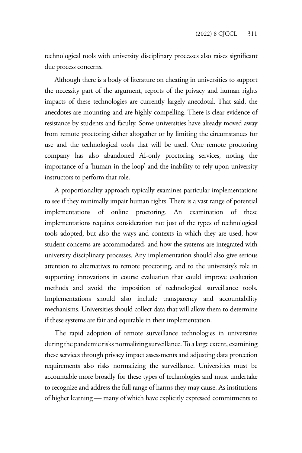technological tools with university disciplinary processes also raises significant due process concerns.

Although there is a body of literature on cheating in universities to support the necessity part of the argument, reports of the privacy and human rights impacts of these technologies are currently largely anecdotal. That said, the anecdotes are mounting and are highly compelling. There is clear evidence of resistance by students and faculty. Some universities have already moved away from remote proctoring either altogether or by limiting the circumstances for use and the technological tools that will be used. One remote proctoring company has also abandoned AI-only proctoring services, noting the importance of a 'human-in-the-loop' and the inability to rely upon university instructors to perform that role.

A proportionality approach typically examines particular implementations to see if they minimally impair human rights. There is a vast range of potential implementations of online proctoring. An examination of these implementations requires consideration not just of the types of technological tools adopted, but also the ways and contexts in which they are used, how student concerns are accommodated, and how the systems are integrated with university disciplinary processes. Any implementation should also give serious attention to alternatives to remote proctoring, and to the university's role in supporting innovations in course evaluation that could improve evaluation methods and avoid the imposition of technological surveillance tools. Implementations should also include transparency and accountability mechanisms. Universities should collect data that will allow them to determine if these systems are fair and equitable in their implementation.

The rapid adoption of remote surveillance technologies in universities during the pandemic risks normalizing surveillance. To a large extent, examining these services through privacy impact assessments and adjusting data protection requirements also risks normalizing the surveillance. Universities must be accountable more broadly for these types of technologies and must undertake to recognize and address the full range of harms they may cause. As institutions of higher learning — many of which have explicitly expressed commitments to